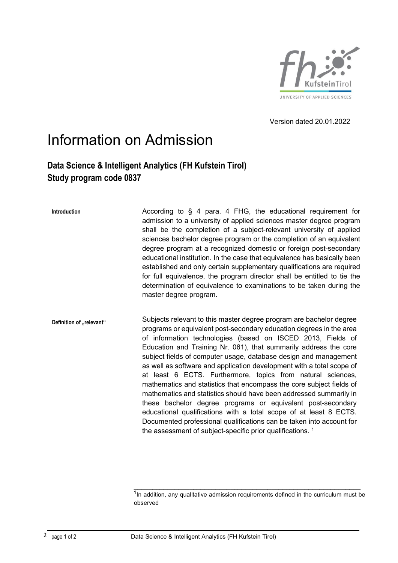

Version dated 20.01.2022

## Information on Admission

## **Data Science & Intelligent Analytics (FH Kufstein Tirol) Study program code 0837**

**Introduction** According to § 4 para. 4 FHG, the educational requirement for admission to a university of applied sciences master degree program shall be the completion of a subject-relevant university of applied sciences bachelor degree program or the completion of an equivalent degree program at a recognized domestic or foreign post-secondary educational institution. In the case that equivalence has basically been established and only certain supplementary qualifications are required for full equivalence, the program director shall be entitled to tie the determination of equivalence to examinations to be taken during the master degree program.

**Definition of "relevant"** Subjects relevant to this master degree program are bachelor degree programs or equivalent post-secondary education degrees in the area of information technologies (based on ISCED 2013, Fields of Education and Training Nr. 061), that summarily address the core subject fields of computer usage, database design and management as well as software and application development with a total scope of at least 6 ECTS. Furthermore, topics from natural sciences, mathematics and statistics that encompass the core subject fields of mathematics and statistics should have been addressed summarily in these bachelor degree programs or equivalent post-secondary educational qualifications with a total scope of at least 8 ECTS. Documented professional qualifications can be taken into account for the assessment of subject-specific prior qualifications.  $1$ 

\_\_\_\_\_\_\_\_\_\_\_\_\_\_\_\_\_\_\_\_\_\_\_\_\_\_\_\_\_\_\_\_\_\_\_\_\_\_\_\_\_\_\_\_\_\_\_\_\_\_\_\_\_\_\_\_\_\_\_\_\_

 $1$ In addition, any qualitative admission requirements defined in the curriculum must be observed